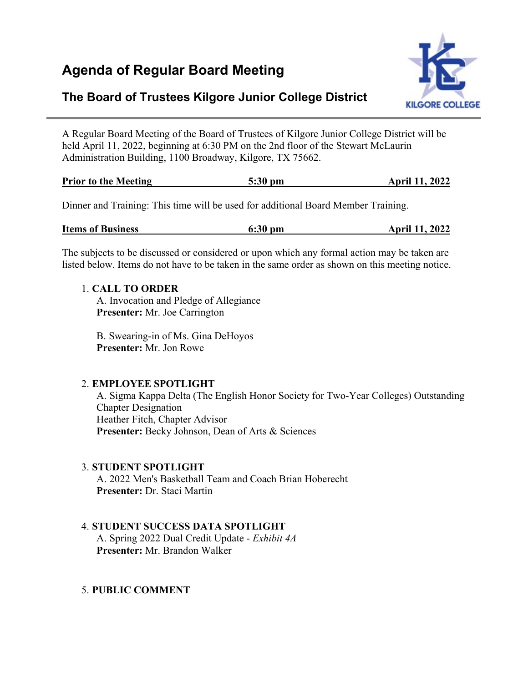# **Agenda of Regular Board Meeting**



## **The Board of Trustees Kilgore Junior College District**

A Regular Board Meeting of the Board of Trustees of Kilgore Junior College District will be held April 11, 2022, beginning at 6:30 PM on the 2nd floor of the Stewart McLaurin Administration Building, 1100 Broadway, Kilgore, TX 75662.

| <b>Prior to the Meeting</b><br>$5:30$ pm | <b>April 11, 2022</b> |
|------------------------------------------|-----------------------|
|------------------------------------------|-----------------------|

Dinner and Training: This time will be used for additional Board Member Training.

| <b>Items of Business</b><br>$6:30$ pm |  | <b>April 11, 2022</b> |  |  |
|---------------------------------------|--|-----------------------|--|--|
|---------------------------------------|--|-----------------------|--|--|

The subjects to be discussed or considered or upon which any formal action may be taken are listed below. Items do not have to be taken in the same order as shown on this meeting notice.

#### 1. **CALL TO ORDER**

A. Invocation and Pledge of Allegiance **Presenter:** Mr. Joe Carrington

B. Swearing-in of Ms. Gina DeHoyos **Presenter:** Mr. Jon Rowe

## 2. **EMPLOYEE SPOTLIGHT**

A. Sigma Kappa Delta (The English Honor Society for Two-Year Colleges) Outstanding Chapter Designation Heather Fitch, Chapter Advisor **Presenter:** Becky Johnson, Dean of Arts & Sciences

## 3. **STUDENT SPOTLIGHT**

A. 2022 Men's Basketball Team and Coach Brian Hoberecht **Presenter:** Dr. Staci Martin

## 4. **STUDENT SUCCESS DATA SPOTLIGHT**

A. Spring 2022 Dual Credit Update - *Exhibit 4A* **Presenter:** Mr. Brandon Walker

## 5. **PUBLIC COMMENT**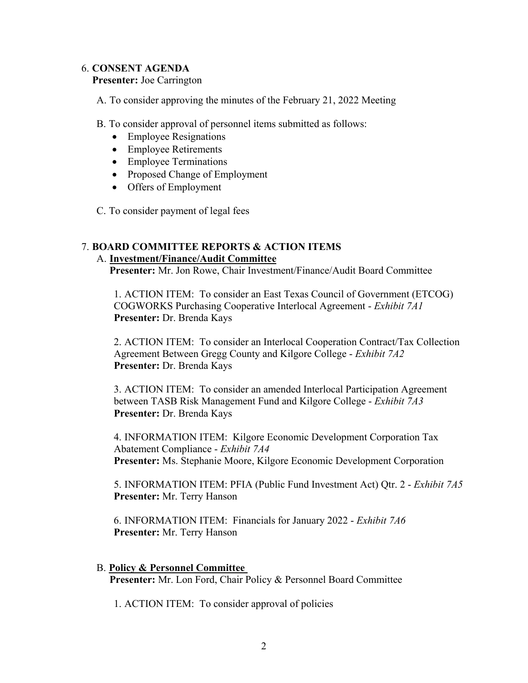#### 6. **CONSENT AGENDA**

#### **Presenter:** Joe Carrington

A. To consider approving the minutes of the February 21, 2022 Meeting

B. To consider approval of personnel items submitted as follows:

- Employee Resignations
- Employee Retirements
- Employee Terminations
- Proposed Change of Employment
- Offers of Employment
- C. To consider payment of legal fees

## 7. **BOARD COMMITTEE REPORTS & ACTION ITEMS**

#### A. **Investment/Finance/Audit Committee**

 **Presenter:** Mr. Jon Rowe, Chair Investment/Finance/Audit Board Committee

1. ACTION ITEM: To consider an East Texas Council of Government (ETCOG) COGWORKS Purchasing Cooperative Interlocal Agreement - *Exhibit 7A1* **Presenter:** Dr. Brenda Kays

2. ACTION ITEM: To consider an Interlocal Cooperation Contract/Tax Collection Agreement Between Gregg County and Kilgore College - *Exhibit 7A2* **Presenter:** Dr. Brenda Kays

3. ACTION ITEM: To consider an amended Interlocal Participation Agreement between TASB Risk Management Fund and Kilgore College - *Exhibit 7A3* **Presenter:** Dr. Brenda Kays

4. INFORMATION ITEM: Kilgore Economic Development Corporation Tax Abatement Compliance - *Exhibit 7A4* **Presenter:** Ms. Stephanie Moore, Kilgore Economic Development Corporation

5. INFORMATION ITEM: PFIA (Public Fund Investment Act) Qtr. 2 - *Exhibit 7A5* **Presenter:** Mr. Terry Hanson

6. INFORMATION ITEM: Financials for January 2022 - *Exhibit 7A6* **Presenter:** Mr. Terry Hanson

#### B. **Policy & Personnel Committee**

 **Presenter:** Mr. Lon Ford, Chair Policy & Personnel Board Committee

1. ACTION ITEM: To consider approval of policies